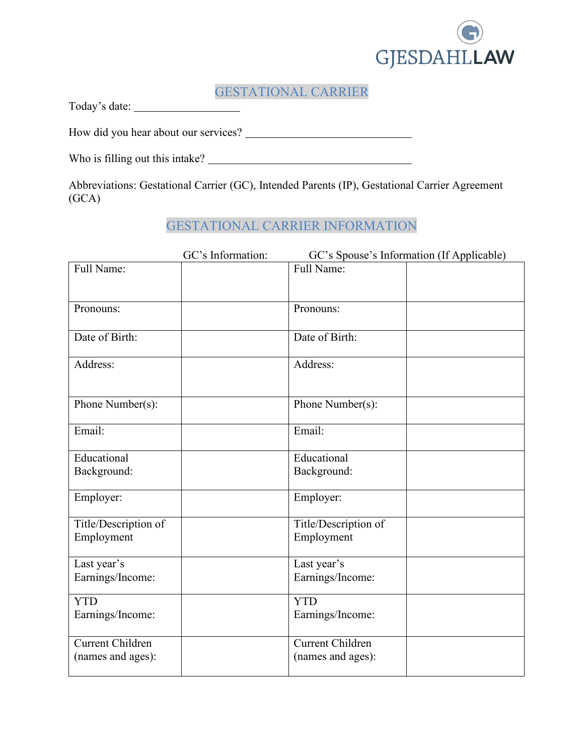

GESTATIONAL CARRIER

Today's date:

How did you hear about our services?

Who is filling out this intake?

Abbreviations: Gestational Carrier (GC), Intended Parents (IP), Gestational Carrier Agreement (GCA)

### GESTATIONAL CARRIER INFORMATION

|                                    | GC's Information: |                                    | GC's Spouse's Information (If Applicable) |
|------------------------------------|-------------------|------------------------------------|-------------------------------------------|
| Full Name:                         |                   | Full Name:                         |                                           |
| Pronouns:                          |                   | Pronouns:                          |                                           |
| Date of Birth:                     |                   | Date of Birth:                     |                                           |
| Address:                           |                   | Address:                           |                                           |
| Phone Number(s):                   |                   | Phone Number(s):                   |                                           |
| Email:                             |                   | Email:                             |                                           |
| Educational                        |                   | Educational                        |                                           |
| Background:                        |                   | Background:                        |                                           |
| Employer:                          |                   | Employer:                          |                                           |
| Title/Description of<br>Employment |                   | Title/Description of<br>Employment |                                           |
| Last year's<br>Earnings/Income:    |                   | Last year's<br>Earnings/Income:    |                                           |
| <b>YTD</b><br>Earnings/Income:     |                   | <b>YTD</b><br>Earnings/Income:     |                                           |
| <b>Current Children</b>            |                   | Current Children                   |                                           |
| (names and ages):                  |                   | (names and ages):                  |                                           |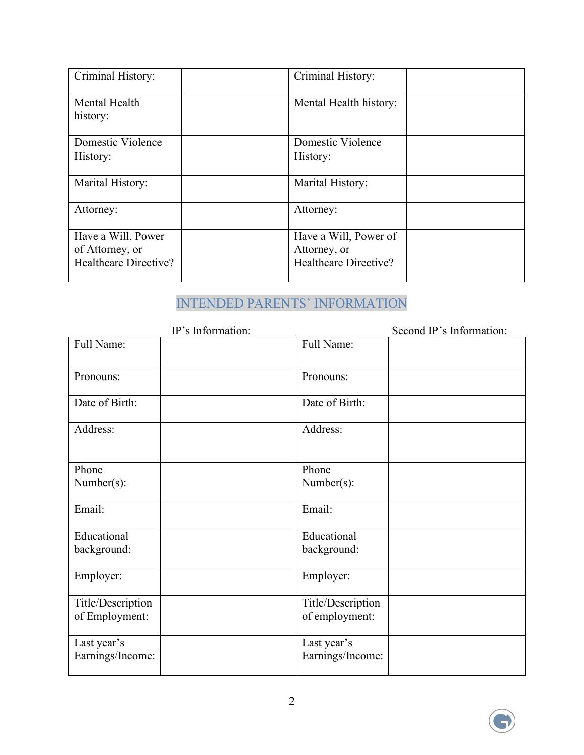| Criminal History:                                              | Criminal History:                                              |  |
|----------------------------------------------------------------|----------------------------------------------------------------|--|
| Mental Health<br>history:                                      | Mental Health history:                                         |  |
| Domestic Violence<br>History:                                  | Domestic Violence<br>History:                                  |  |
| Marital History:                                               | Marital History:                                               |  |
| Attorney:                                                      | Attorney:                                                      |  |
| Have a Will, Power<br>of Attorney, or<br>Healthcare Directive? | Have a Will, Power of<br>Attorney, or<br>Healthcare Directive? |  |

# INTENDED PARENTS' INFORMATION

|                   | IP's Information: |                   | Second IP's Information: |
|-------------------|-------------------|-------------------|--------------------------|
| Full Name:        |                   | Full Name:        |                          |
| Pronouns:         |                   | Pronouns:         |                          |
| Date of Birth:    |                   | Date of Birth:    |                          |
| Address:          |                   | Address:          |                          |
| Phone             |                   | Phone             |                          |
| Number(s):        |                   | Number(s):        |                          |
| Email:            |                   | Email:            |                          |
| Educational       |                   | Educational       |                          |
| background:       |                   | background:       |                          |
| Employer:         |                   | Employer:         |                          |
| Title/Description |                   | Title/Description |                          |
| of Employment:    |                   | of employment:    |                          |
| Last year's       |                   | Last year's       |                          |
| Earnings/Income:  |                   | Earnings/Income:  |                          |

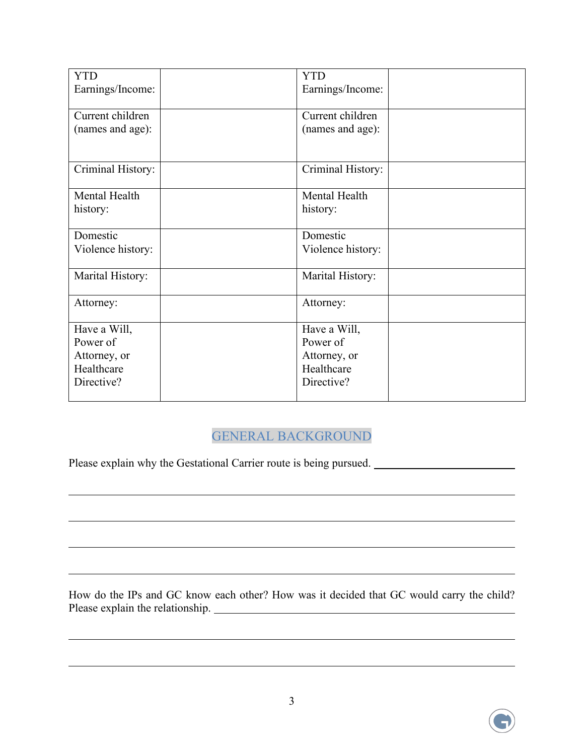| <b>YTD</b>        | <b>YTD</b>        |  |
|-------------------|-------------------|--|
| Earnings/Income:  | Earnings/Income:  |  |
|                   |                   |  |
| Current children  | Current children  |  |
| (names and age):  | (names and age):  |  |
|                   |                   |  |
|                   |                   |  |
| Criminal History: | Criminal History: |  |
|                   |                   |  |
| Mental Health     | Mental Health     |  |
| history:          | history:          |  |
|                   |                   |  |
| Domestic          | Domestic          |  |
| Violence history: | Violence history: |  |
|                   |                   |  |
| Marital History:  | Marital History:  |  |
|                   |                   |  |
| Attorney:         | Attorney:         |  |
|                   |                   |  |
| Have a Will,      | Have a Will,      |  |
| Power of          | Power of          |  |
| Attorney, or      | Attorney, or      |  |
| Healthcare        | Healthcare        |  |
| Directive?        | Directive?        |  |
|                   |                   |  |

### GENERAL BACKGROUND

Please explain why the Gestational Carrier route is being pursued.

 $\overline{a}$ 

How do the IPs and GC know each other? How was it decided that GC would carry the child? Please explain the relationship.



 $\overline{a}$ 

 $\overline{a}$ 

 $\overline{a}$ 

 $\overline{a}$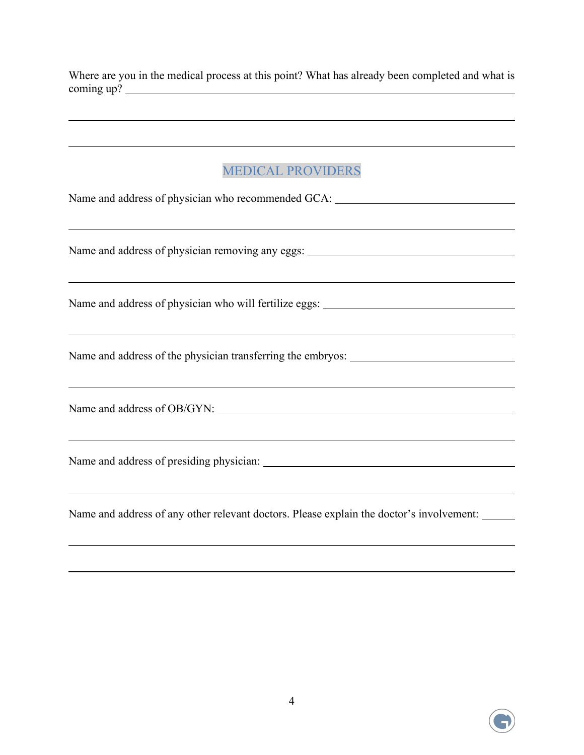Where are you in the medical process at this point? What has already been completed and what is coming up?

 $\overline{a}$ 

 $\overline{a}$ 

# MEDICAL PROVIDERS

| Name and address of physician who recommended GCA: _____________________________                                     |  |  |
|----------------------------------------------------------------------------------------------------------------------|--|--|
| ,我们也不会有什么。""我们的人,我们也不会有什么?""我们的人,我们也不会有什么?""我们的人,我们也不会有什么?""我们的人,我们也不会有什么?""我们的人                                     |  |  |
| Name and address of physician removing any eggs: ________________________________                                    |  |  |
| <u> 1989 - Jan Samuel Barbara, marka a shekara ta 1989 - An tsara tsara tsara tsara tsara tsara tsara tsara tsar</u> |  |  |
|                                                                                                                      |  |  |
| ,我们也不会有什么。""我们的人,我们也不会有什么?""我们的人,我们也不会有什么?""我们的人,我们也不会有什么?""我们的人,我们也不会有什么?""我们的人                                     |  |  |
|                                                                                                                      |  |  |
| <u> 1989 - Johann Stoff, fransk politik (f. 1989)</u>                                                                |  |  |
|                                                                                                                      |  |  |
| ,我们也不会有一个人的人,我们也不会有一个人的人,我们也不会有一个人的人。""我们,我们也不会有一个人的人,我们也不会有一个人的人,我们也不会有一个人的人,我们                                     |  |  |
|                                                                                                                      |  |  |
|                                                                                                                      |  |  |
| Name and address of any other relevant doctors. Please explain the doctor's involvement:                             |  |  |
|                                                                                                                      |  |  |

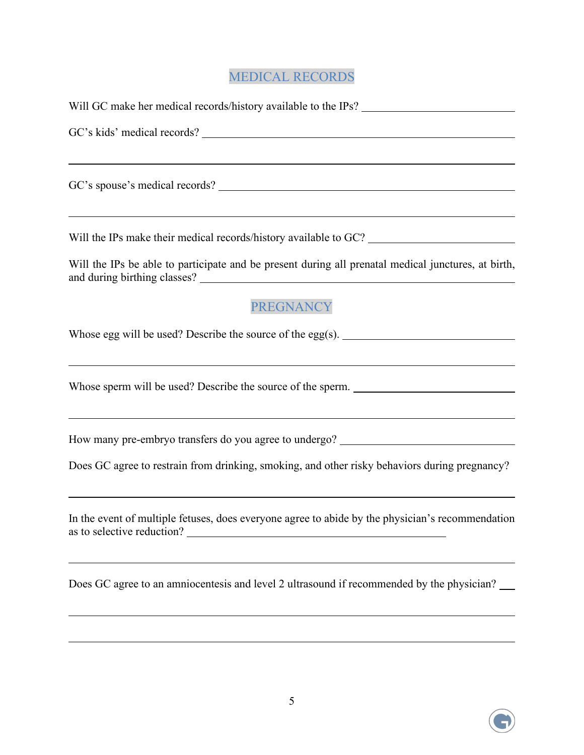### MEDICAL RECORDS

Will GC make her medical records/history available to the IPs? GC's kids' medical records?  $\overline{a}$ GC's spouse's medical records? Will the IPs make their medical records/history available to GC? Will the IPs be able to participate and be present during all prenatal medical junctures, at birth, and during birthing classes? PREGNANCY Whose egg will be used? Describe the source of the egg(s).  $\overline{a}$ Whose sperm will be used? Describe the source of the sperm. How many pre-embryo transfers do you agree to undergo? \_\_\_\_\_\_\_\_\_\_\_\_\_\_\_\_\_\_\_\_\_\_\_\_\_ Does GC agree to restrain from drinking, smoking, and other risky behaviors during pregnancy?  $\overline{a}$ In the event of multiple fetuses, does everyone agree to abide by the physician's recommendation as to selective reduction?  $\overline{a}$ Does GC agree to an amniocentesis and level 2 ultrasound if recommended by the physician?



 $\overline{a}$ 

 $\overline{a}$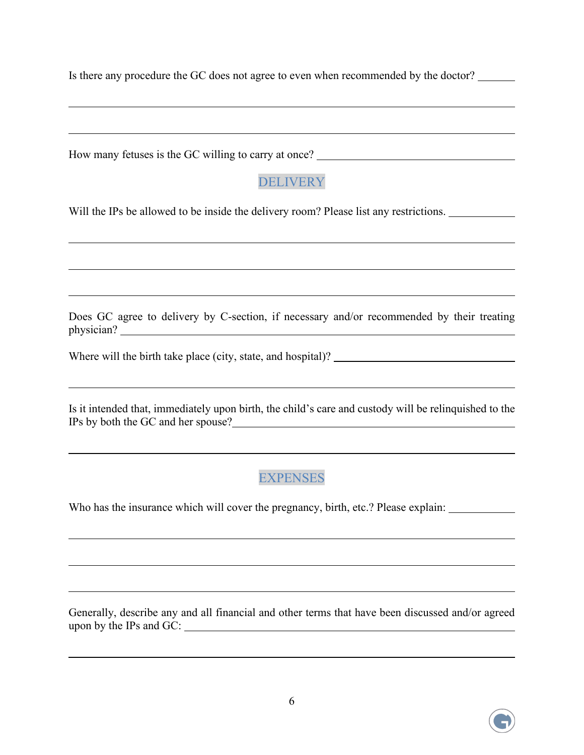Is there any procedure the GC does not agree to even when recommended by the doctor?

How many fetuses is the GC willing to carry at once?

### DELIVERY

Will the IPs be allowed to be inside the delivery room? Please list any restrictions.

Does GC agree to delivery by C-section, if necessary and/or recommended by their treating physician?

Where will the birth take place (city, state, and hospital)? \_\_\_\_\_\_\_\_\_\_\_\_\_\_\_\_\_\_\_\_

 $\overline{a}$ 

 $\overline{a}$ 

 $\overline{a}$ 

 $\overline{a}$ 

 $\overline{a}$ 

 $\overline{a}$ 

 $\overline{a}$ 

 $\overline{a}$ 

 $\overline{a}$ 

Is it intended that, immediately upon birth, the child's care and custody will be relinquished to the IPs by both the GC and her spouse?

# EXPENSES

Who has the insurance which will cover the pregnancy, birth, etc.? Please explain:

Generally, describe any and all financial and other terms that have been discussed and/or agreed upon by the IPs and GC:

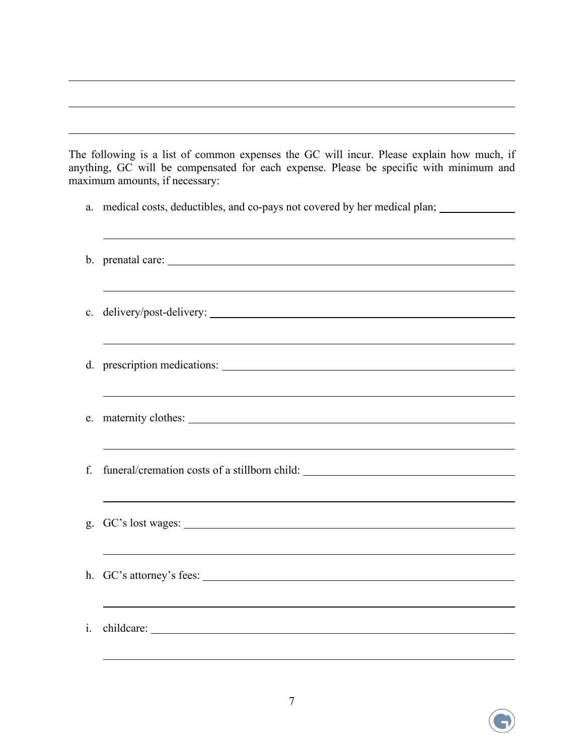The following is a list of common expenses the GC will incur. Please explain how much, if anything, GC will be compensated for each expense. Please be specific with minimum and maximum amounts, if necessary:

a. medical costs, deductibles, and co-pays not covered by her medical plan;

 $\overline{a}$ 

 $\overline{a}$ 

|                | ,我们也不会有什么。""我们的人,我们也不会有什么?""我们的人,我们也不会有什么?""我们的人,我们也不会有什么?""我们的人,我们也不会有什么?""我们的人 |
|----------------|----------------------------------------------------------------------------------|
|                |                                                                                  |
|                | d. prescription medications:                                                     |
|                | ,我们也不会有什么。""我们的人,我们也不会有什么?""我们的人,我们也不会有什么?""我们的人,我们也不会有什么?""我们的人,我们也不会有什么?""我们的人 |
|                | e. maternity clothes:                                                            |
|                | ,我们也不会有什么。""我们的人,我们也不会有什么?""我们的人,我们也不会有什么?""我们的人,我们也不会有什么?""我们的人,我们也不会有什么?""我们的人 |
| f.             | funeral/cremation costs of a stillborn child: __________________________________ |
|                | ,我们也不会有什么。""我们的人,我们也不会有什么?""我们的人,我们也不会有什么?""我们的人,我们也不会有什么?""我们的人,我们也不会有什么?""我们的人 |
|                |                                                                                  |
|                | ,我们也不会有什么。""我们的人,我们也不会有什么?""我们的人,我们也不会有什么?""我们的人,我们也不会有什么?""我们的人,我们也不会有什么?""我们的人 |
|                | h. GC's attorney's fees:                                                         |
|                |                                                                                  |
| $\mathbf{i}$ . |                                                                                  |
|                |                                                                                  |

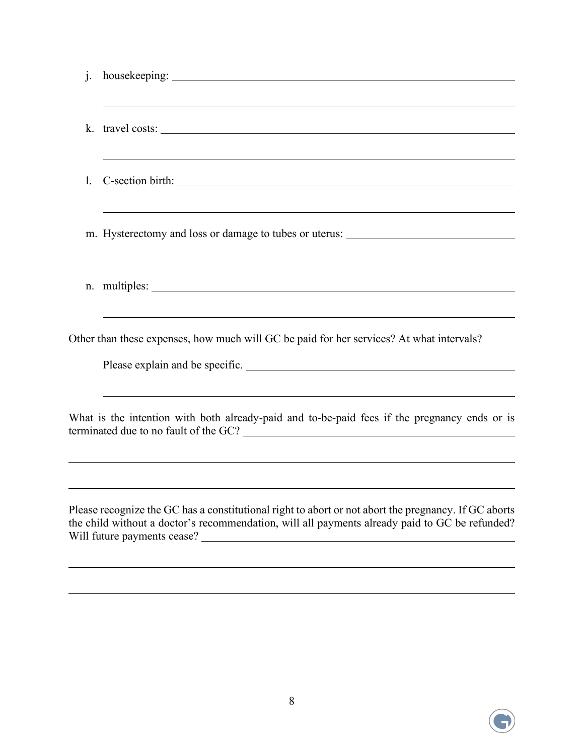| $\mathbf{i}$ . |                                                                                                                                                                                                        |
|----------------|--------------------------------------------------------------------------------------------------------------------------------------------------------------------------------------------------------|
|                | k. travel costs:                                                                                                                                                                                       |
| 1.             | C-section birth:                                                                                                                                                                                       |
|                | ,我们也不会有什么。""我们的人,我们也不会有什么?""我们的人,我们也不会有什么?""我们的人,我们也不会有什么?""我们的人,我们也不会有什么?""我们的人                                                                                                                       |
|                | <u> 1989 - Johann Stoff, deur de Frankryk fan de Fryske kommunenter fan de Fryske kommunenter fan de Fryske kommun</u>                                                                                 |
|                | Other than these expenses, how much will GC be paid for her services? At what intervals?                                                                                                               |
|                | What is the intention with both already-paid and to-be-paid fees if the pregnancy ends or is<br>terminated due to no fault of the GC?                                                                  |
|                | Please recognize the GC has a constitutional right to abort or not abort the pregnancy. If GC aborts<br>the child without a doctor's recommendation, will all payments already paid to GC be refunded? |

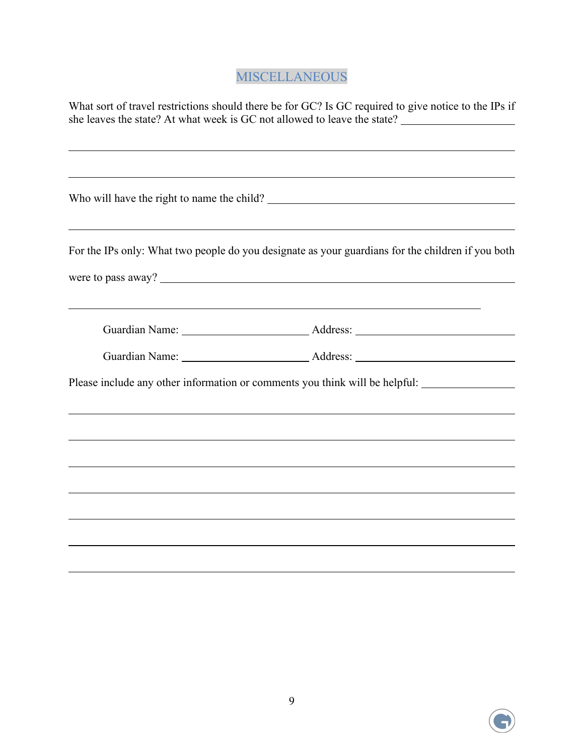# MISCELLANEOUS

What sort of travel restrictions should there be for GC? Is GC required to give notice to the IPs if she leaves the state? At what week is GC not allowed to leave the state?

| Who will have the right to name the child?                                                          |
|-----------------------------------------------------------------------------------------------------|
| ,我们也不会有什么。""我们的人,我们也不会有什么?""我们的人,我们也不会有什么?""我们的人,我们也不会有什么?""我们的人,我们也不会有什么?""我们的人                    |
| For the IPs only: What two people do you designate as your guardians for the children if you both   |
|                                                                                                     |
|                                                                                                     |
|                                                                                                     |
|                                                                                                     |
| Please include any other information or comments you think will be helpful: _______________________ |
| ,我们也不会有什么。""我们的人,我们也不会有什么?""我们的人,我们也不会有什么?""我们的人,我们也不会有什么?""我们的人,我们也不会有什么?""我们的人                    |
|                                                                                                     |
|                                                                                                     |
|                                                                                                     |
|                                                                                                     |
|                                                                                                     |
|                                                                                                     |